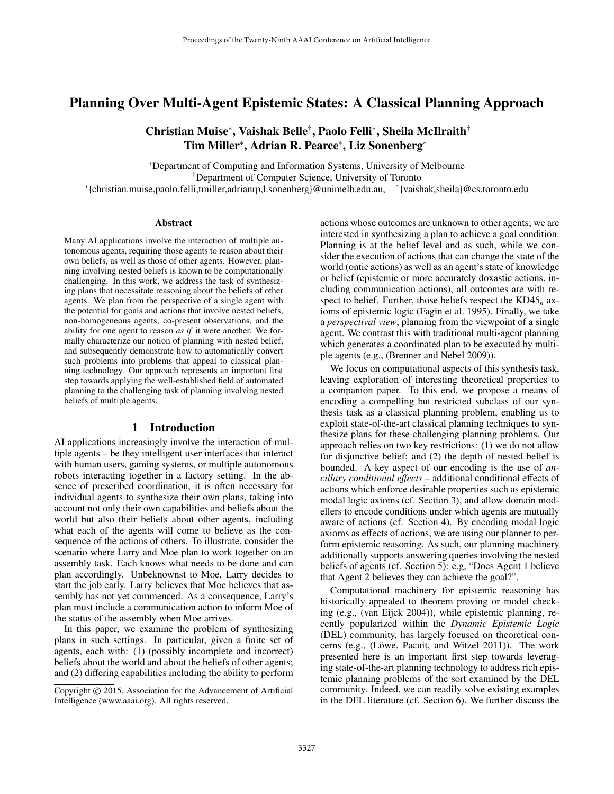# Planning Over Multi-Agent Epistemic States: A Classical Planning Approach

# Christian Muise<sup>∗</sup> , Vaishak Belle† , Paolo Felli<sup>∗</sup> , Sheila McIlraith† Tim Miller<sup>∗</sup> , Adrian R. Pearce<sup>∗</sup> , Liz Sonenberg<sup>∗</sup>

<sup>∗</sup>Department of Computing and Information Systems, University of Melbourne

†Department of Computer Science, University of Toronto

∗ {christian.muise,paolo.felli,tmiller,adrianrp,l.sonenberg}@unimelb.edu.au, † {vaishak,sheila}@cs.toronto.edu

#### Abstract

Many AI applications involve the interaction of multiple autonomous agents, requiring those agents to reason about their own beliefs, as well as those of other agents. However, planning involving nested beliefs is known to be computationally challenging. In this work, we address the task of synthesizing plans that necessitate reasoning about the beliefs of other agents. We plan from the perspective of a single agent with the potential for goals and actions that involve nested beliefs, non-homogeneous agents, co-present observations, and the ability for one agent to reason *as if* it were another. We formally characterize our notion of planning with nested belief, and subsequently demonstrate how to automatically convert such problems into problems that appeal to classical planning technology. Our approach represents an important first step towards applying the well-established field of automated planning to the challenging task of planning involving nested beliefs of multiple agents.

## 1 Introduction

AI applications increasingly involve the interaction of multiple agents – be they intelligent user interfaces that interact with human users, gaming systems, or multiple autonomous robots interacting together in a factory setting. In the absence of prescribed coordination, it is often necessary for individual agents to synthesize their own plans, taking into account not only their own capabilities and beliefs about the world but also their beliefs about other agents, including what each of the agents will come to believe as the consequence of the actions of others. To illustrate, consider the scenario where Larry and Moe plan to work together on an assembly task. Each knows what needs to be done and can plan accordingly. Unbeknownst to Moe, Larry decides to start the job early. Larry believes that Moe believes that assembly has not yet commenced. As a consequence, Larry's plan must include a communication action to inform Moe of the status of the assembly when Moe arrives.

In this paper, we examine the problem of synthesizing plans in such settings. In particular, given a finite set of agents, each with: (1) (possibly incomplete and incorrect) beliefs about the world and about the beliefs of other agents; and (2) differing capabilities including the ability to perform

actions whose outcomes are unknown to other agents; we are interested in synthesizing a plan to achieve a goal condition. Planning is at the belief level and as such, while we consider the execution of actions that can change the state of the world (ontic actions) as well as an agent's state of knowledge or belief (epistemic or more accurately doxastic actions, including communication actions), all outcomes are with respect to belief. Further, those beliefs respect the KD45*<sup>n</sup>* axioms of epistemic logic (Fagin et al. 1995). Finally, we take a *perspectival view*, planning from the viewpoint of a single agent. We contrast this with traditional multi-agent planning which generates a coordinated plan to be executed by multiple agents (e.g., (Brenner and Nebel 2009)).

We focus on computational aspects of this synthesis task, leaving exploration of interesting theoretical properties to a companion paper. To this end, we propose a means of encoding a compelling but restricted subclass of our synthesis task as a classical planning problem, enabling us to exploit state-of-the-art classical planning techniques to synthesize plans for these challenging planning problems. Our approach relies on two key restrictions: (1) we do not allow for disjunctive belief; and (2) the depth of nested belief is bounded. A key aspect of our encoding is the use of *ancillary conditional e*ff*ects* – additional conditional effects of actions which enforce desirable properties such as epistemic modal logic axioms (cf. Section 3), and allow domain modellers to encode conditions under which agents are mutually aware of actions (cf. Section 4). By encoding modal logic axioms as effects of actions, we are using our planner to perform epistemic reasoning. As such, our planning machinery additionally supports answering queries involving the nested beliefs of agents (cf. Section 5): e.g, "Does Agent 1 believe that Agent 2 believes they can achieve the goal?".

Computational machinery for epistemic reasoning has historically appealed to theorem proving or model checking (e.g., (van Eijck 2004)), while epistemic planning, recently popularized within the *Dynamic Epistemic Logic* (DEL) community, has largely focused on theoretical concerns (e.g., (Löwe, Pacuit, and Witzel 2011)). The work presented here is an important first step towards leveraging state-of-the-art planning technology to address rich epistemic planning problems of the sort examined by the DEL community. Indeed, we can readily solve existing examples in the DEL literature (cf. Section 6). We further discuss the

Copyright © 2015, Association for the Advancement of Artificial Intelligence (www.aaai.org). All rights reserved.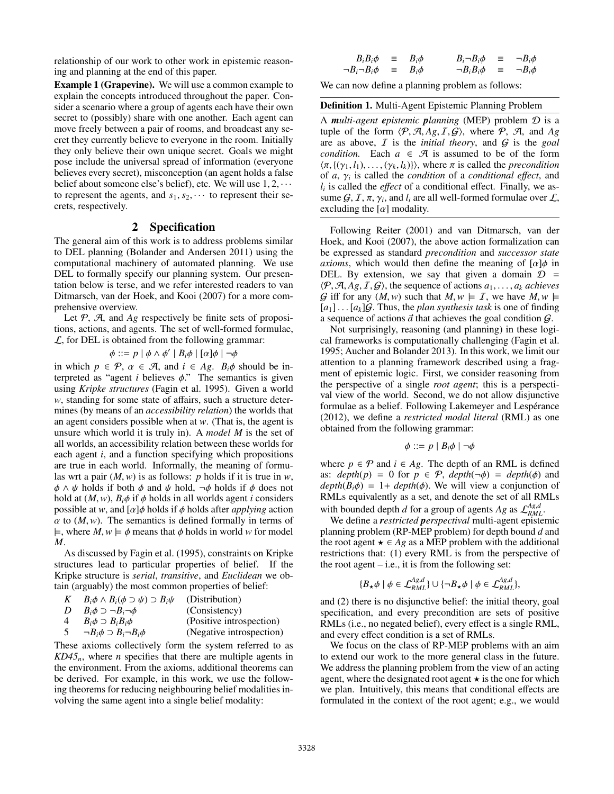relationship of our work to other work in epistemic reasoning and planning at the end of this paper.

Example 1 (Grapevine). We will use a common example to explain the concepts introduced throughout the paper. Consider a scenario where a group of agents each have their own secret to (possibly) share with one another. Each agent can move freely between a pair of rooms, and broadcast any secret they currently believe to everyone in the room. Initially they only believe their own unique secret. Goals we might pose include the universal spread of information (everyone believes every secret), misconception (an agent holds a false belief about someone else's belief), etc. We will use  $1, 2, \cdots$ to represent the agents, and  $s_1, s_2, \cdots$  to represent their secrets, respectively.

## 2 Specification

The general aim of this work is to address problems similar to DEL planning (Bolander and Andersen 2011) using the computational machinery of automated planning. We use DEL to formally specify our planning system. Our presentation below is terse, and we refer interested readers to van Ditmarsch, van der Hoek, and Kooi (2007) for a more comprehensive overview.

Let  $P$ ,  $A$ , and  $Ag$  respectively be finite sets of propositions, actions, and agents. The set of well-formed formulae,  $\mathcal{L}$ , for DEL is obtained from the following grammar:

$$
\phi ::= p | \phi \land \phi' | B_i \phi | [\alpha] \phi | \neg \phi
$$
  
=  $\mathcal{D}$   $\alpha \in \mathcal{D}$  and  $i \in \mathcal{A} \circ \mathcal{D} \circ \mathcal{A}$ 

in which  $p \in \mathcal{P}$ ,  $\alpha \in \mathcal{A}$ , and  $i \in Ag$ .  $B_i\phi$  should be interpreted as "agent *i* believes  $\phi$ ." The semantics is given terpreted as "agent *i* believes  $\phi$ ." The semantics is given using *Kripke structures* (Fagin et al. 1995). Given a world *w*, standing for some state of affairs, such a structure determines (by means of an *accessibility relation*) the worlds that an agent considers possible when at *w*. (That is, the agent is unsure which world it is truly in). A *model M* is the set of all worlds, an accessibility relation between these worlds for each agent *i*, and a function specifying which propositions are true in each world. Informally, the meaning of formulas wrt a pair (*M*,*w*) is as follows: *<sup>p</sup>* holds if it is true in *<sup>w</sup>*,  $\phi \land \psi$  holds if both  $\phi$  and  $\psi$  hold,  $\neg \phi$  holds if  $\phi$  does not hold at  $(M, w)$ ,  $B_i \phi$  if  $\phi$  holds in all worlds agent *i* considers possible at *w*, and  $\lceil \alpha \rceil \phi$  holds if  $\phi$  holds after *applying* action  $\alpha$  to  $(M, w)$ . The semantics is defined formally in terms of  $\models$ , where  $M, w \models \phi$  means that  $\phi$  holds in world *w* for model *M*.

As discussed by Fagin et al. (1995), constraints on Kripke structures lead to particular properties of belief. If the Kripke structure is *serial*, *transitive*, and *Euclidean* we obtain (arguably) the most common properties of belief:

|       | $B_i\phi \wedge B_i(\phi \supset \psi) \supset B_i\psi$ | (Distribution)                                           |
|-------|---------------------------------------------------------|----------------------------------------------------------|
|       | $B_i\phi \supset \neg B_i \neg \phi$                    | (Consistency)                                            |
|       | $B_i \phi \supset B_i B_i \phi$                         | (Positive introspection)                                 |
| $5 -$ | $\neg B_i \phi \supset B_i \neg B_i \phi$               | (Negative introspection)                                 |
|       |                                                         | These axioms collectively form the system referred to as |

 $KD45<sub>n</sub>$ , where *n* specifies that there are multiple agents in the environment. From the axioms, additional theorems can be derived. For example, in this work, we use the following theorems for reducing neighbouring belief modalities involving the same agent into a single belief modality:

$$
B_i B_j \phi \equiv B_i \phi \qquad B_i \neg B_i \phi \equiv \neg B_i \phi
$$
  
\n
$$
\neg B_i \neg B_i \phi \equiv B_i \phi \qquad \qquad \neg B_i B_i \phi \equiv \neg B_i \phi
$$

We can now define a planning problem as follows:

#### Definition 1. Multi-Agent Epistemic Planning Problem

A *multi-agent epistemic planning* (MEP) problem D is a tuple of the form  $\langle P, A, Ag, I, G \rangle$ , where P, A, and Ag are as above, I is the *initial theory*, and G is the *goal condition.* Each  $a \in \mathcal{A}$  is assumed to be of the form  $\langle \pi, \{(\gamma_1, l_1), \ldots, (\gamma_k, l_k)\}\rangle$ , where  $\pi$  is called the *precondition* of *a*,  $\gamma_i$  is called the *condition* of a *conditional effect*, and *l* is called the *effect* of a conditional effect. Finally we as*li* is called the *e*ff*ect* of a conditional effect. Finally, we assume  $G, I, \pi, \gamma_i$ , and  $l_i$  are all well-formed formulae over  $\mathcal{L}$ , excluding the  $[\alpha]$  modality excluding the  $[\alpha]$  modality.

Following Reiter (2001) and van Ditmarsch, van der Hoek, and Kooi (2007), the above action formalization can be expressed as standard *precondition* and *successor state axioms*, which would then define the meaning of  $\lbrack \alpha \rbrack \phi$  in DEL. By extension, we say that given a domain  $\mathcal{D}$  =  $\langle P, A, Ag, I, G \rangle$ , the sequence of actions  $a_1, \ldots, a_k$  *achieves* G iff for any  $(M, w)$  such that  $M, w \models I$ , we have  $M, w \models$  $[a_1] \dots [a_k]$ G. Thus, the *plan synthesis task* is one of finding a sequence of actions  $\vec{a}$  that achieves the goal condition  $\mathcal{G}$ .

Not surprisingly, reasoning (and planning) in these logical frameworks is computationally challenging (Fagin et al. 1995; Aucher and Bolander 2013). In this work, we limit our attention to a planning framework described using a fragment of epistemic logic. First, we consider reasoning from the perspective of a single *root agent*; this is a perspectival view of the world. Second, we do not allow disjunctive formulae as a belief. Following Lakemeyer and Lespérance (2012), we define a *restricted modal literal* (RML) as one obtained from the following grammar:

$$
\phi ::= p \mid B_i \phi \mid \neg \phi
$$

where  $p \in \mathcal{P}$  and  $i \in Ag$ . The depth of an RML is defined as:  $depth(p) = 0$  for  $p \in \mathcal{P}$ ,  $depth(\neg \phi) = depth(\phi)$  and  $depth(B_i \phi) = 1 + depth(\phi)$ . We will view a conjunction of RMLs equivalently as a set, and denote the set of all RMLs with bounded depth *d* for a group of agents *Ag* as  $\mathcal{L}_{RML}^{A g,d}$ .

We define a *restricted perspectival* multi-agent epistemic planning problem (RP-MEP problem) for depth bound *d* and the root agent  $\star \in Ag$  as a MEP problem with the additional restrictions that: (1) every RML is from the perspective of the root agent  $-$  i.e., it is from the following set:

$$
\{B_{\star}\phi \mid \phi \in \mathcal{L}_{RML}^{Ag,d}\} \cup \{\neg B_{\star}\phi \mid \phi \in \mathcal{L}_{RML}^{Ag,d}\},\
$$

and (2) there is no disjunctive belief: the initial theory, goal specification, and every precondition are sets of positive RMLs (i.e., no negated belief), every effect is a single RML, and every effect condition is a set of RMLs.

We focus on the class of RP-MEP problems with an aim to extend our work to the more general class in the future. We address the planning problem from the view of an acting agent, where the designated root agent  $\star$  is the one for which we plan. Intuitively, this means that conditional effects are formulated in the context of the root agent; e.g., we would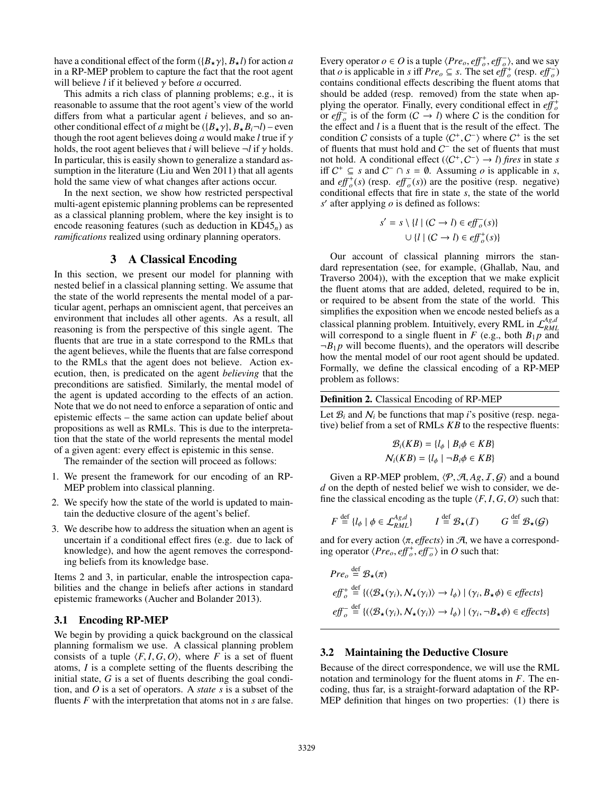have a conditional effect of the form  $({B_{\star}\gamma}, {B_{\star}l})$  for action *a* in a RP-MEP problem to capture the fact that the root agent will believe *<sup>l</sup>* if it believed γ before *<sup>a</sup>* occurred.

This admits a rich class of planning problems; e.g., it is reasonable to assume that the root agent's view of the world differs from what a particular agent *i* believes, and so another conditional effect of *a* might be  $({B_{\star}\gamma}, {B_{\star}B_{i}}$  –*l*) – even though the root agent believes doing *<sup>a</sup>* would make *<sup>l</sup>* true if γ holds, the root agent believes that *i* will believe  $\neg$ *l* if  $\gamma$  holds. In particular, this is easily shown to generalize a standard assumption in the literature (Liu and Wen 2011) that all agents hold the same view of what changes after actions occur.

In the next section, we show how restricted perspectival multi-agent epistemic planning problems can be represented as a classical planning problem, where the key insight is to encode reasoning features (such as deduction in KD45*n*) as *ramifications* realized using ordinary planning operators.

# 3 A Classical Encoding

In this section, we present our model for planning with nested belief in a classical planning setting. We assume that the state of the world represents the mental model of a particular agent, perhaps an omniscient agent, that perceives an environment that includes all other agents. As a result, all reasoning is from the perspective of this single agent. The fluents that are true in a state correspond to the RMLs that the agent believes, while the fluents that are false correspond to the RMLs that the agent does not believe. Action execution, then, is predicated on the agent *believing* that the preconditions are satisfied. Similarly, the mental model of the agent is updated according to the effects of an action. Note that we do not need to enforce a separation of ontic and epistemic effects – the same action can update belief about propositions as well as RMLs. This is due to the interpretation that the state of the world represents the mental model of a given agent: every effect is epistemic in this sense.

The remainder of the section will proceed as follows:

- 1. We present the framework for our encoding of an RP-MEP problem into classical planning.
- 2. We specify how the state of the world is updated to maintain the deductive closure of the agent's belief.
- 3. We describe how to address the situation when an agent is uncertain if a conditional effect fires (e.g. due to lack of knowledge), and how the agent removes the corresponding beliefs from its knowledge base.

Items 2 and 3, in particular, enable the introspection capabilities and the change in beliefs after actions in standard epistemic frameworks (Aucher and Bolander 2013).

# 3.1 Encoding RP-MEP

We begin by providing a quick background on the classical planning formalism we use. A classical planning problem consists of a tuple  $\langle F, I, G, O \rangle$ , where *F* is a set of fluent atoms, *I* is a complete setting of the fluents describing the initial state, *G* is a set of fluents describing the goal condition, and *O* is a set of operators. A *state s* is a subset of the fluents *F* with the interpretation that atoms not in *s* are false.

Every operator  $o \in O$  is a tuple  $\langle Pre_o, eff_o^+, eff_o^-\rangle$ , and we say that  $o$  is applicable in s iff  $Pre_s \subseteq s$ . The set  $eff^+(resp, eff^-)$ that *o* is applicable in *s* iff  $Pre_o \subseteq s$ . The set  $eff_o^+(resp. eff_o^-)$ contains conditional effects describing the fluent atoms that should be added (resp. removed) from the state when applying the operator. Finally, every conditional effect in  $e^{i\theta}$ or *eff*<sub>o</sub> is of the form  $(C \rightarrow l)$  where C is the condition for the effect and *l* is a fluent that is the result of the effect. The condition C consists of a tuple  $\langle C^+, C^- \rangle$  where  $C^+$  is the set<br>of fluents that must hold and  $C^-$  the set of fluents that must of fluents that must hold and  $C^-$  the set of fluents that must not hold. A conditional effect  $\langle (C^+, C^-) \rangle \rightarrow l$  *fires* in state *s*<br>iff  $C^+ \subseteq s$  and  $C^- \cap s = \emptyset$ . Assuming *o* is applicable in *s* iff  $C^+$  ⊆ *s* and  $C^-$  ∩ *s* =  $\emptyset$ . Assuming *o* is applicable in *s*, and  $eff_o^+(s)$  (resp.  $eff_o^-(s)$ ) are the positive (resp. negative) conditional effects that fire in state *s*, the state of the world  $s'$  after applying  $o$  is defined as follows:

$$
s' = s \setminus \{l \mid (C \to l) \in e f f_o^-(s) \}
$$

$$
\cup \{l \mid (C \to l) \in e f f_o^+(s) \}
$$

Our account of classical planning mirrors the standard representation (see, for example, (Ghallab, Nau, and Traverso 2004)), with the exception that we make explicit the fluent atoms that are added, deleted, required to be in, or required to be absent from the state of the world. This simplifies the exposition when we encode nested beliefs as a classical planning problem. Intuitively, every RML in  $\mathcal{L}_{RML}^{Ag,d}$ will correspond to a single fluent in  $F$  (e.g., both  $B_1 p$  and  $\neg B_1 p$  will become fluents), and the operators will describe how the mental model of our root agent should be updated. Formally, we define the classical encoding of a RP-MEP problem as follows:

Definition 2. Classical Encoding of RP-MEP

Let  $B_i$  and  $N_i$  be functions that map *i*'s positive (resp. negative) belief from a set of RMLs *KB* to the respective fluents:

$$
\mathcal{B}_i(KB) = \{l_{\phi} \mid B_i \phi \in KB\}
$$
  

$$
\mathcal{N}_i(KB) = \{l_{\phi} \mid \neg B_i \phi \in KB\}
$$

Given a RP-MEP problem,  $\langle P, A, Ag, I, G \rangle$  and a bound *d* on the depth of nested belief we wish to consider, we define the classical encoding as the tuple  $\langle F, I, G, O \rangle$  such that:

$$
F \stackrel{\text{def}}{=} \{ l_{\phi} \mid \phi \in \mathcal{L}_{RML}^{Ag,d} \} \qquad I \stackrel{\text{def}}{=} \mathcal{B}_{\star}(I) \qquad G \stackrel{\text{def}}{=} \mathcal{B}_{\star}(G)
$$

and for every action  $\langle \pi, \text{effects} \rangle$  in A, we have a corresponding operator  $\langle Pre_o, eff_o^+, eff_o^- \rangle$  in *O* such that:

$$
Pre_o \stackrel{\text{def}}{=} \mathcal{B}_{\star}(\pi)
$$
  
\n
$$
eff_o^+ \stackrel{\text{def}}{=} \{ (\langle \mathcal{B}_{\star}(\gamma_i), N_{\star}(\gamma_i) \rangle \to l_{\phi}) \mid (\gamma_i, B_{\star} \phi) \in effects \}
$$
  
\n
$$
eff_o^- \stackrel{\text{def}}{=} \{ (\langle \mathcal{B}_{\star}(\gamma_i), N_{\star}(\gamma_i) \rangle \to l_{\phi}) \mid (\gamma_i, \neg B_{\star} \phi) \in effects \}
$$

## 3.2 Maintaining the Deductive Closure

Because of the direct correspondence, we will use the RML notation and terminology for the fluent atoms in *F*. The encoding, thus far, is a straight-forward adaptation of the RP-MEP definition that hinges on two properties: (1) there is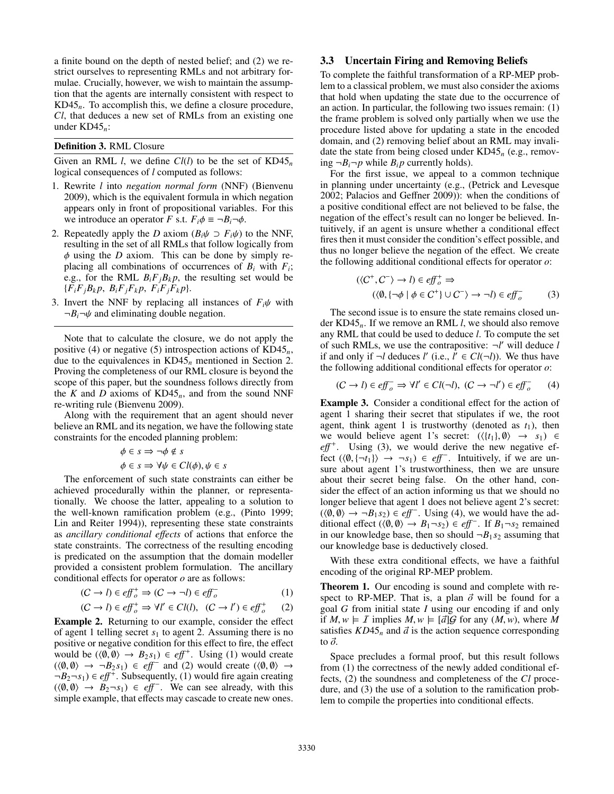a finite bound on the depth of nested belief; and (2) we restrict ourselves to representing RMLs and not arbitrary formulae. Crucially, however, we wish to maintain the assumption that the agents are internally consistent with respect to KD45*n*. To accomplish this, we define a closure procedure, *Cl*, that deduces a new set of RMLs from an existing one under KD45*n*:

#### Definition 3. RML Closure

Given an RML *l*, we define *Cl(l)* to be the set of KD45<sub>*n*</sub> logical consequences of *l* computed as follows:

- 1. Rewrite *l* into *negation normal form* (NNF) (Bienvenu 2009), which is the equivalent formula in which negation appears only in front of propositional variables. For this we introduce an operator *F* s.t.  $F_i \phi \equiv \neg B_i \neg \phi$ .
- 2. Repeatedly apply the *D* axiom  $(B_i \psi \supset F_i \psi)$  to the NNF, resulting in the set of all RMLs that follow logically from  $\phi$  using the *D* axiom. This can be done by simply replacing all combinations of occurrences of  $B_i$  with  $F_i$ ; e.g., for the RML  $B_iF_jB_kp$ , the resulting set would be  ${F_iF_jB_kp, B_iF_jF_kp, F_iF_jF_kp}.$
- 3. Invert the NNF by replacing all instances of  $F_i\psi$  with  $\neg B_i\neg \psi$  and eliminating double negation.

Note that to calculate the closure, we do not apply the positive (4) or negative (5) introspection actions of KD45*n*, due to the equivalences in KD45*<sup>n</sup>* mentioned in Section 2. Proving the completeness of our RML closure is beyond the scope of this paper, but the soundness follows directly from the *K* and *D* axioms of  $KD45<sub>n</sub>$ , and from the sound NNF re-writing rule (Bienvenu 2009).

Along with the requirement that an agent should never believe an RML and its negation, we have the following state constraints for the encoded planning problem:

$$
\phi \in s \implies \neg \phi \notin s
$$

$$
\phi \in s \implies \forall \psi \in Cl(\phi), \psi \in
$$

 $\phi \in s \Rightarrow \forall \psi \in Cl(\phi), \psi \in s$ <br>The enforcement of such state constraints can either be achieved procedurally within the planner, or representationally. We choose the latter, appealing to a solution to the well-known ramification problem (e.g., (Pinto 1999; Lin and Reiter 1994)), representing these state constraints as *ancillary conditional e*ff*ects* of actions that enforce the state constraints. The correctness of the resulting encoding is predicated on the assumption that the domain modeller provided a consistent problem formulation. The ancillary conditional effects for operator *o* are as follows:

$$
(C \to l) \in \mathit{eff}^+_o \Rightarrow (C \to \neg l) \in \mathit{eff}^-_o \tag{1}
$$

$$
(C \to l) \in eff_o^+ \Rightarrow \forall l' \in Cl(l), \ (C \to l') \in eff_o^+ \qquad (2)
$$
  
**Example 2.** Returning to our example, consider the effect

of agent 1 telling secret  $s_1$  to agent 2. Assuming there is no positive or negative condition for this effect to fire, the effect would be  $(\langle 0, 0 \rangle \to B_2 s_1) \in eff^+$ . Using (1) would create  $(\langle 0, 0 \rangle \to \neg B_2 s_1) \in eff^-$  and (2) would create  $(\langle 0, 0 \rangle \to \neg B_2 s_1)$  $(\langle \emptyset, \emptyset \rangle \rightarrow \neg B_2 s_1) \in eff^-$  and (2) would create  $(\langle \emptyset, \emptyset \rangle \rightarrow \neg B_2 s_1) \in eff^+$  Subsequently (1) would fire again creating  $\neg B_2 \neg s_1$ )  $\in$  *eff*<sup>+</sup>. Subsequently, (1) would fire again creating  $(\langle 0, 0 \rangle \rightarrow \tilde{B_2} \rightarrow s_1) \in eff^-$ . We can see already, with this simple example that effects may cascade to create new ones simple example, that effects may cascade to create new ones.

# 3.3 Uncertain Firing and Removing Beliefs

To complete the faithful transformation of a RP-MEP problem to a classical problem, we must also consider the axioms that hold when updating the state due to the occurrence of an action. In particular, the following two issues remain: (1) the frame problem is solved only partially when we use the procedure listed above for updating a state in the encoded domain, and (2) removing belief about an RML may invalidate the state from being closed under KD45*<sup>n</sup>* (e.g., removing  $\neg B_i \neg p$  while  $B_i p$  currently holds).

For the first issue, we appeal to a common technique in planning under uncertainty (e.g., (Petrick and Levesque 2002; Palacios and Geffner 2009)): when the conditions of a positive conditional effect are not believed to be false, the negation of the effect's result can no longer be believed. Intuitively, if an agent is unsure whether a conditional effect fires then it must consider the condition's effect possible, and thus no longer believe the negation of the effect. We create the following additional conditional effects for operator *o*:

$$
(\langle C^+, C^- \rangle \to l) \in eff_o^+ \Rightarrow
$$
  

$$
(\langle \emptyset, {\neg \phi \mid \phi \in C^+} \rangle \cup C^- \rangle \to \neg l) \in eff_o^-
$$
 (3)

The second issue is to ensure the state remains closed under KD45*n*. If we remove an RML *l*, we should also remove any RML that could be used to deduce *l*. To compute the set of such RMLs, we use the contrapositive:  $\neg l'$  will deduce *l* if and only if  $\neg l$  deduces *l'* (i.e.,  $\hat{l}' \in Cl(\neg l)$ ). We thus have the following additional conditional effects for operator *o*:

$$
(C \to l) \in \text{eff}^-_o \Rightarrow \forall l' \in \text{Cl}(\neg l), \ (C \to \neg l') \in \text{eff}^-_o \tag{4}
$$

Example 3. Consider a conditional effect for the action of agent 1 sharing their secret that stipulates if we, the root agent, think agent 1 is trustworthy (denoted as  $t_1$ ), then we would believe agent 1's secret:  $(\langle \{t_1\}, \emptyset \rangle \rightarrow s_1) \in$ eff<sup>+</sup>. Using (3), we would derive the new negative effect  $((0, \{\neg t_1\}) \rightarrow \neg s_1) \in eff^-$ . Intuitively, if we are un-<br>sure about agent 1's trustworthiness then we are unsure sure about agent 1's trustworthiness, then we are unsure about their secret being false. On the other hand, consider the effect of an action informing us that we should no longer believe that agent 1 does not believe agent 2's secret:  $(\langle 0, 0 \rangle \rightarrow \neg B_1 s_2) \in eff^-$ . Using (4), we would have the additional effect  $(\langle 0, 0 \rangle \rightarrow B_1 s_2) \in eff^-$  If  $B_1 \rightarrow s_2$  remained ditional effect  $((0, 0) \rightarrow B_1 - s_2) \in eff^-$ . If  $B_1 - s_2$  remained<br>in our knowledge base, then so should  $\neg B_1 s_2$  assuming that in our knowledge base, then so should  $\neg B_1 s_2$  assuming that our knowledge base is deductively closed.

With these extra conditional effects, we have a faithful encoding of the original RP-MEP problem.

Theorem 1. Our encoding is sound and complete with respect to RP-MEP. That is, a plan  $\vec{\sigma}$  will be found for a goal *G* from initial state *I* using our encoding if and only if  $M, w \models I$  implies  $M, w \models [\vec{a}]\mathcal{G}$  for any  $(M, w)$ , where M satisfies  $KD45<sub>n</sub>$  and  $\vec{a}$  is the action sequence corresponding to  $\vec{o}$ .

Space precludes a formal proof, but this result follows from (1) the correctness of the newly added conditional effects, (2) the soundness and completeness of the *Cl* procedure, and (3) the use of a solution to the ramification problem to compile the properties into conditional effects.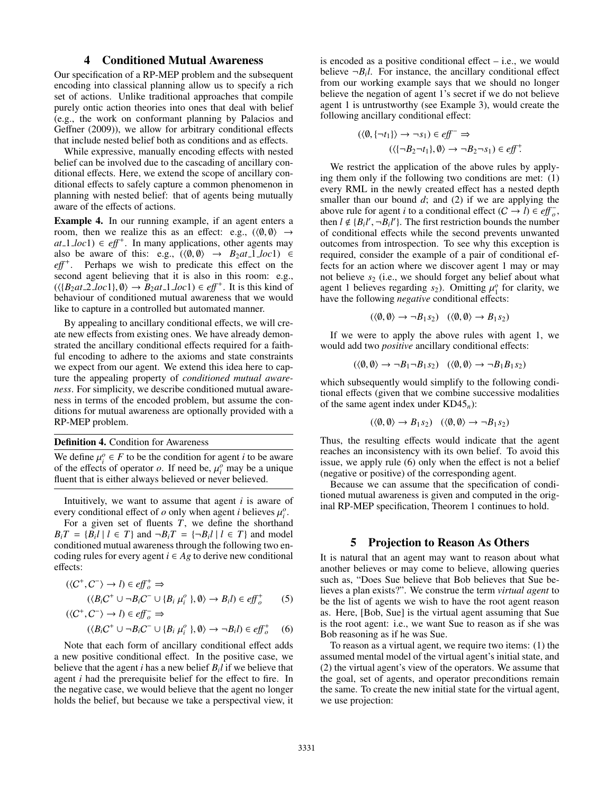# 4 Conditioned Mutual Awareness

Our specification of a RP-MEP problem and the subsequent encoding into classical planning allow us to specify a rich set of actions. Unlike traditional approaches that compile purely ontic action theories into ones that deal with belief (e.g., the work on conformant planning by Palacios and Geffner (2009)), we allow for arbitrary conditional effects that include nested belief both as conditions and as effects.

While expressive, manually encoding effects with nested belief can be involved due to the cascading of ancillary conditional effects. Here, we extend the scope of ancillary conditional effects to safely capture a common phenomenon in planning with nested belief: that of agents being mutually aware of the effects of actions.

Example 4. In our running example, if an agent enters a room, then we realize this as an effect: e.g.,  $(\langle \emptyset, \emptyset \rangle \rightarrow$  $at$ <sub>-1</sub> $loc$ 1)  $\in$  *eff*<sup>+</sup>. In many applications, other agents may also be aware of this: e.g.,  $(\langle \emptyset, \emptyset \rangle \rightarrow B_2at_1 \text{loc} 1) \in$ eff<sup>+</sup>. Perhaps we wish to predicate this effect on the second agent believing that it is also in this room: e.g.,  $(\langle B_2at.2 \cdot \text{loc1} \rangle, \emptyset) \rightarrow B_2at.1 \cdot \text{loc1}) \in \text{eff}^+$ . It is this kind of behaviour of conditioned mutual awareness that we would behaviour of conditioned mutual awareness that we would like to capture in a controlled but automated manner.

By appealing to ancillary conditional effects, we will create new effects from existing ones. We have already demonstrated the ancillary conditional effects required for a faithful encoding to adhere to the axioms and state constraints we expect from our agent. We extend this idea here to capture the appealing property of *conditioned mutual awareness*. For simplicity, we describe conditioned mutual awareness in terms of the encoded problem, but assume the conditions for mutual awareness are optionally provided with a RP-MEP problem.

Definition 4. Condition for Awareness

We define  $\mu_i^o \in F$  to be the condition for agent *i* to be aware<br>of the effects of operator *o*. If need be  $\mu_i^o$  may be a unique of the effects of operator *o*. If need be,  $\mu_i^o$  may be a unique fluent that is either always believed or never believed fluent that is either always believed or never believed.

Intuitively, we want to assume that agent *i* is aware of every conditional effect of *o* only when agent *i* believes  $\mu_i^o$ .<br>For a given set of fluents *T* we define the shorthan

For a given set of fluents  $T$ , we define the shorthand  $B_i T = {B_i l | l \in T}$  and  $\neg B_i T = {\neg B_i l | l \in T}$  and model conditioned mutual awareness through the following two encoding rules for every agent  $i \in Ag$  to derive new conditional effects:

$$
(\langle C^+, C^- \rangle \to l) \in eff_o^+ \Rightarrow
$$
  

$$
(\langle B_i C^+ \cup \neg B_i C^- \cup \{B_i \mu_i^o\}, \emptyset \rangle \to B_i l) \in eff_o^+
$$
 (5)

$$
(\langle C^+, C^- \rangle \to l) \in eff_o^- \Rightarrow
$$
  

$$
(\langle B_i C^+ \cup \neg B_i C^- \cup \{B_i \mu_i^o \}, \emptyset \rangle \to \neg B_i l) \in eff_o^+
$$
 (6)

Note that each form of ancillary conditional effect adds a new positive conditional effect. In the positive case, we believe that the agent *i* has a new belief *B<sup>i</sup> l* if we believe that agent *i* had the prerequisite belief for the effect to fire. In the negative case, we would believe that the agent no longer holds the belief, but because we take a perspectival view, it

is encoded as a positive conditional effect  $-$  i.e., we would believe  $\neg B_i l$ . For instance, the ancillary conditional effect from our working example says that we should no longer believe the negation of agent 1's secret if we do not believe agent 1 is untrustworthy (see Example 3), would create the following ancillary conditional effect:

$$
(\langle \emptyset, \{\neg t_1\} \rangle \rightarrow \neg s_1) \in eff^- \Rightarrow
$$
  

$$
(\langle \{\neg B_2 \neg t_1\}, \emptyset \rangle \rightarrow \neg B_2 \neg s_1) \in eff^+.
$$

We restrict the application of the above rules by applying them only if the following two conditions are met: (1) every RML in the newly created effect has a nested depth smaller than our bound  $d$ ; and (2) if we are applying the above rule for agent *i* to a conditional effect  $(C \rightarrow i) \in eff_{o}^{-}$ , then  $l \notin \{B_i l', \neg B_i l'\}$ . The first restriction bounds the number<br>of conditional effects while the second prevents unwanted of conditional effects while the second prevents unwanted outcomes from introspection. To see why this exception is required, consider the example of a pair of conditional effects for an action where we discover agent 1 may or may not believe  $s_2$  (i.e., we should forget any belief about what agent 1 believes regarding  $s_2$ ). Omitting  $\mu_1^o$  for clarity, we have the following *negative* conditional effects: have the following *negative* conditional effects:

$$
(\langle \emptyset, \emptyset \rangle \to \neg B_1 s_2) \quad (\langle \emptyset, \emptyset \rangle \to B_1 s_2)
$$

If we were to apply the above rules with agent 1, we would add two *positive* ancillary conditional effects:

$$
(\langle \emptyset, \emptyset \rangle \to \neg B_1 \neg B_1 s_2) \quad (\langle \emptyset, \emptyset \rangle \to \neg B_1 B_1 s_2)
$$

which subsequently would simplify to the following conditional effects (given that we combine successive modalities of the same agent index under KD45*n*):

$$
(\langle \emptyset, \emptyset \rangle \to B_1 s_2) \quad (\langle \emptyset, \emptyset \rangle \to \neg B_1 s_2)
$$

Thus, the resulting effects would indicate that the agent reaches an inconsistency with its own belief. To avoid this issue, we apply rule (6) only when the effect is not a belief (negative or positive) of the corresponding agent.

Because we can assume that the specification of conditioned mutual awareness is given and computed in the original RP-MEP specification, Theorem 1 continues to hold.

#### 5 Projection to Reason As Others

It is natural that an agent may want to reason about what another believes or may come to believe, allowing queries such as, "Does Sue believe that Bob believes that Sue believes a plan exists?". We construe the term *virtual agent* to be the list of agents we wish to have the root agent reason as. Here, [Bob, Sue] is the virtual agent assuming that Sue is the root agent: i.e., we want Sue to reason as if she was Bob reasoning as if he was Sue.

To reason as a virtual agent, we require two items: (1) the assumed mental model of the virtual agent's initial state, and (2) the virtual agent's view of the operators. We assume that the goal, set of agents, and operator preconditions remain the same. To create the new initial state for the virtual agent, we use projection: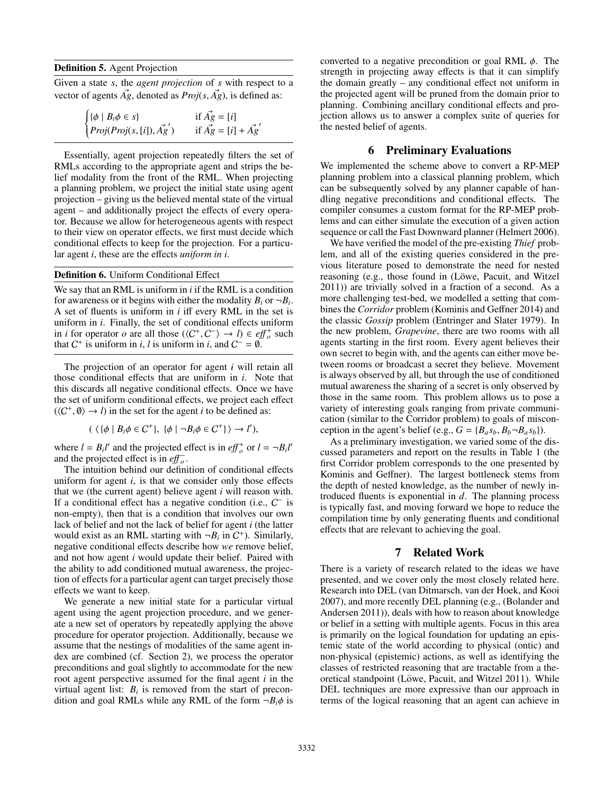Definition 5. Agent Projection

Given a state *s*, the *agent projection* of *s* with respect to a vector of agents  $\vec{Ag}$ , denoted as  $Proj(s, \vec{Ag})$ , is defined as:

|  |  | $\begin{cases} {\{\phi \mid B_i \phi \in s\}} \\ Proj(Proj(s, [i]), \overrightarrow{Ag}') \end{cases}$ | if $\vec{Ag} = [i]$<br>if $\vec{Ag} = [i] + \vec{Ag}'$ |
|--|--|--------------------------------------------------------------------------------------------------------|--------------------------------------------------------|
|--|--|--------------------------------------------------------------------------------------------------------|--------------------------------------------------------|

Essentially, agent projection repeatedly filters the set of RMLs according to the appropriate agent and strips the belief modality from the front of the RML. When projecting a planning problem, we project the initial state using agent projection – giving us the believed mental state of the virtual agent – and additionally project the effects of every operator. Because we allow for heterogeneous agents with respect to their view on operator effects, we first must decide which conditional effects to keep for the projection. For a particular agent *i*, these are the effects *uniform in i*.

### Definition 6. Uniform Conditional Effect

We say that an RML is uniform in *i* if the RML is a condition for awareness or it begins with either the modality  $B_i$  or  $\neg B_i$ . A set of fluents is uniform in *i* iff every RML in the set is uniform in *i*. Finally, the set of conditional effects uniform in *i* for operator *o* are all those  $(\langle C^+, C^- \rangle \to l) \in e f_0^+$  such that  $C^+$  is uniform in *i l* is uniform in *i* and  $C^- = \emptyset$ that  $C^+$  is uniform in *i*, *l* is uniform in *i*, and  $C^- = \emptyset$ .

The projection of an operator for agent *i* will retain all those conditional effects that are uniform in *i*. Note that this discards all negative conditional effects. Once we have the set of uniform conditional effects, we project each effect  $(\langle C^+, \emptyset \rangle \to l)$  in the set for the agent *i* to be defined as:

 $(\langle {\phi | B_i \phi \in C^+}, {\phi | \neg B_i \phi \in C^+} \rangle \rightarrow l'),$ 

where  $l = B_i l'$  and the projected effect is in  $e f f_o^+$  or  $l = \neg B_i l'$ and the projected effect is in  $eff<sub>o</sub>$ .

The intuition behind our definition of conditional effects uniform for agent *i*, is that we consider only those effects that we (the current agent) believe agent *i* will reason with. If a conditional effect has a negative condition (i.e.,  $C^-$  is non-empty), then that is a condition that involves our own lack of belief and not the lack of belief for agent *i* (the latter would exist as an RML starting with  $\neg B_i$  in  $C^+$ ). Similarly, negative conditional effects describe how *we* remove belief, and not how agent *i* would update their belief. Paired with the ability to add conditioned mutual awareness, the projection of effects for a particular agent can target precisely those effects we want to keep.

We generate a new initial state for a particular virtual agent using the agent projection procedure, and we generate a new set of operators by repeatedly applying the above procedure for operator projection. Additionally, because we assume that the nestings of modalities of the same agent index are combined (cf. Section 2), we process the operator preconditions and goal slightly to accommodate for the new root agent perspective assumed for the final agent *i* in the virtual agent list:  $B_i$  is removed from the start of precondition and goal RMLs while any RML of the form  $\neg B_i \phi$  is

converted to a negative precondition or goal RML  $\phi$ . The strength in projecting away effects is that it can simplify the domain greatly – any conditional effect not uniform in the projected agent will be pruned from the domain prior to planning. Combining ancillary conditional effects and projection allows us to answer a complex suite of queries for the nested belief of agents.

## 6 Preliminary Evaluations

We implemented the scheme above to convert a RP-MEP planning problem into a classical planning problem, which can be subsequently solved by any planner capable of handling negative preconditions and conditional effects. The compiler consumes a custom format for the RP-MEP problems and can either simulate the execution of a given action sequence or call the Fast Downward planner (Helmert 2006).

We have verified the model of the pre-existing *Thief* problem, and all of the existing queries considered in the previous literature posed to demonstrate the need for nested reasoning (e.g., those found in (Löwe, Pacuit, and Witzel 2011)) are trivially solved in a fraction of a second. As a more challenging test-bed, we modelled a setting that combines the *Corridor* problem (Kominis and Geffner 2014) and the classic *Gossip* problem (Entringer and Slater 1979). In the new problem, *Grapevine*, there are two rooms with all agents starting in the first room. Every agent believes their own secret to begin with, and the agents can either move between rooms or broadcast a secret they believe. Movement is always observed by all, but through the use of conditioned mutual awareness the sharing of a secret is only observed by those in the same room. This problem allows us to pose a variety of interesting goals ranging from private communication (similar to the Corridor problem) to goals of misconception in the agent's belief (e.g.,  $G = \{B_a s_b, B_b \neg B_a s_b\}$ ).

As a preliminary investigation, we varied some of the discussed parameters and report on the results in Table 1 (the first Corridor problem corresponds to the one presented by Kominis and Geffner). The largest bottleneck stems from the depth of nested knowledge, as the number of newly introduced fluents is exponential in *d*. The planning process is typically fast, and moving forward we hope to reduce the compilation time by only generating fluents and conditional effects that are relevant to achieving the goal.

## 7 Related Work

There is a variety of research related to the ideas we have presented, and we cover only the most closely related here. Research into DEL (van Ditmarsch, van der Hoek, and Kooi 2007), and more recently DEL planning (e.g., (Bolander and Andersen 2011)), deals with how to reason about knowledge or belief in a setting with multiple agents. Focus in this area is primarily on the logical foundation for updating an epistemic state of the world according to physical (ontic) and non-physical (epistemic) actions, as well as identifying the classes of restricted reasoning that are tractable from a theoretical standpoint (Löwe, Pacuit, and Witzel 2011). While DEL techniques are more expressive than our approach in terms of the logical reasoning that an agent can achieve in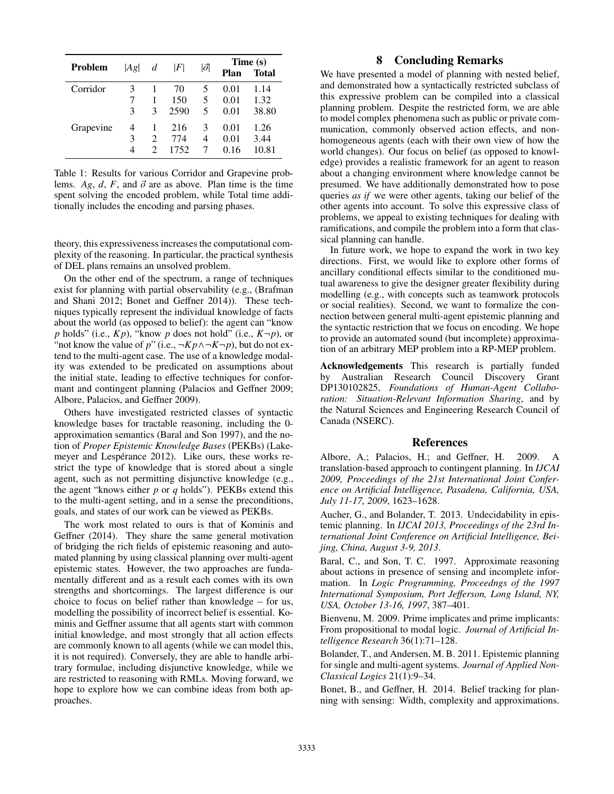| <b>Problem</b> | Ag | d                           | F    | 1đ | Plan | Time (s)<br><b>Total</b> |
|----------------|----|-----------------------------|------|----|------|--------------------------|
| Corridor       | 3  |                             | 70   | 5  | 0.01 | 1.14                     |
|                |    | 1                           | 150  | 5  | 0.01 | 1.32                     |
|                | 3  | $\mathcal{R}$               | 2590 | 5  | 0.01 | 38.80                    |
| Grapevine      | 4  | 1                           | 216  | 3  | 0.01 | 1.26                     |
|                | 3  | $\mathcal{D}_{\mathcal{L}}$ | 774  | 4  | 0.01 | 3.44                     |
|                | 4  | $\mathcal{D}_{\mathcal{L}}$ | 1752 | 7  | 0.16 | 10.81                    |

Table 1: Results for various Corridor and Grapevine problems. *Ag*, *d*, *F*, and  $\vec{\sigma}$  are as above. Plan time is the time spent solving the encoded problem, while Total time additionally includes the encoding and parsing phases.

theory, this expressiveness increases the computational complexity of the reasoning. In particular, the practical synthesis of DEL plans remains an unsolved problem.

On the other end of the spectrum, a range of techniques exist for planning with partial observability (e.g., (Brafman and Shani 2012; Bonet and Geffner 2014)). These techniques typically represent the individual knowledge of facts about the world (as opposed to belief): the agent can "know  $p$  holds" (i.e.,  $Kp$ ), "know  $p$  does not hold" (i.e.,  $K\neg p$ ), or "not know the value of *p*" (i.e.,  $\neg K p \land \neg K \neg p$ ), but do not extend to the multi-agent case. The use of a knowledge modality was extended to be predicated on assumptions about the initial state, leading to effective techniques for conformant and contingent planning (Palacios and Geffner 2009; Albore, Palacios, and Geffner 2009).

Others have investigated restricted classes of syntactic knowledge bases for tractable reasoning, including the 0 approximation semantics (Baral and Son 1997), and the notion of *Proper Epistemic Knowledge Bases* (PEKBs) (Lakemeyer and Lespérance 2012). Like ours, these works restrict the type of knowledge that is stored about a single agent, such as not permitting disjunctive knowledge (e.g., the agent "knows either *p* or *q* holds"). PEKBs extend this to the multi-agent setting, and in a sense the preconditions, goals, and states of our work can be viewed as PEKBs.

The work most related to ours is that of Kominis and Geffner (2014). They share the same general motivation of bridging the rich fields of epistemic reasoning and automated planning by using classical planning over multi-agent epistemic states. However, the two approaches are fundamentally different and as a result each comes with its own strengths and shortcomings. The largest difference is our choice to focus on belief rather than knowledge – for us, modelling the possibility of incorrect belief is essential. Kominis and Geffner assume that all agents start with common initial knowledge, and most strongly that all action effects are commonly known to all agents (while we can model this, it is not required). Conversely, they are able to handle arbitrary formulae, including disjunctive knowledge, while we are restricted to reasoning with RMLs. Moving forward, we hope to explore how we can combine ideas from both approaches.

# 8 Concluding Remarks

We have presented a model of planning with nested belief, and demonstrated how a syntactically restricted subclass of this expressive problem can be compiled into a classical planning problem. Despite the restricted form, we are able to model complex phenomena such as public or private communication, commonly observed action effects, and nonhomogeneous agents (each with their own view of how the world changes). Our focus on belief (as opposed to knowledge) provides a realistic framework for an agent to reason about a changing environment where knowledge cannot be presumed. We have additionally demonstrated how to pose queries *as if* we were other agents, taking our belief of the other agents into account. To solve this expressive class of problems, we appeal to existing techniques for dealing with ramifications, and compile the problem into a form that classical planning can handle.

In future work, we hope to expand the work in two key directions. First, we would like to explore other forms of ancillary conditional effects similar to the conditioned mutual awareness to give the designer greater flexibility during modelling (e.g., with concepts such as teamwork protocols or social realities). Second, we want to formalize the connection between general multi-agent epistemic planning and the syntactic restriction that we focus on encoding. We hope to provide an automated sound (but incomplete) approximation of an arbitrary MEP problem into a RP-MEP problem.

Acknowledgements This research is partially funded by Australian Research Council Discovery Grant DP130102825, *Foundations of Human-Agent Collaboration: Situation-Relevant Information Sharing*, and by the Natural Sciences and Engineering Research Council of Canada (NSERC).

#### References

Albore, A.; Palacios, H.; and Geffner, H. 2009. A translation-based approach to contingent planning. In *IJCAI 2009, Proceedings of the 21st International Joint Conference on Artificial Intelligence, Pasadena, California, USA, July 11-17, 2009*, 1623–1628.

Aucher, G., and Bolander, T. 2013. Undecidability in epistemic planning. In *IJCAI 2013, Proceedings of the 23rd International Joint Conference on Artificial Intelligence, Beijing, China, August 3-9, 2013*.

Baral, C., and Son, T. C. 1997. Approximate reasoning about actions in presence of sensing and incomplete information. In *Logic Programming, Proceedngs of the 1997 International Symposium, Port Je*ff*erson, Long Island, NY, USA, October 13-16, 1997*, 387–401.

Bienvenu, M. 2009. Prime implicates and prime implicants: From propositional to modal logic. *Journal of Artificial Intelligence Research* 36(1):71–128.

Bolander, T., and Andersen, M. B. 2011. Epistemic planning for single and multi-agent systems. *Journal of Applied Non-Classical Logics* 21(1):9–34.

Bonet, B., and Geffner, H. 2014. Belief tracking for planning with sensing: Width, complexity and approximations.